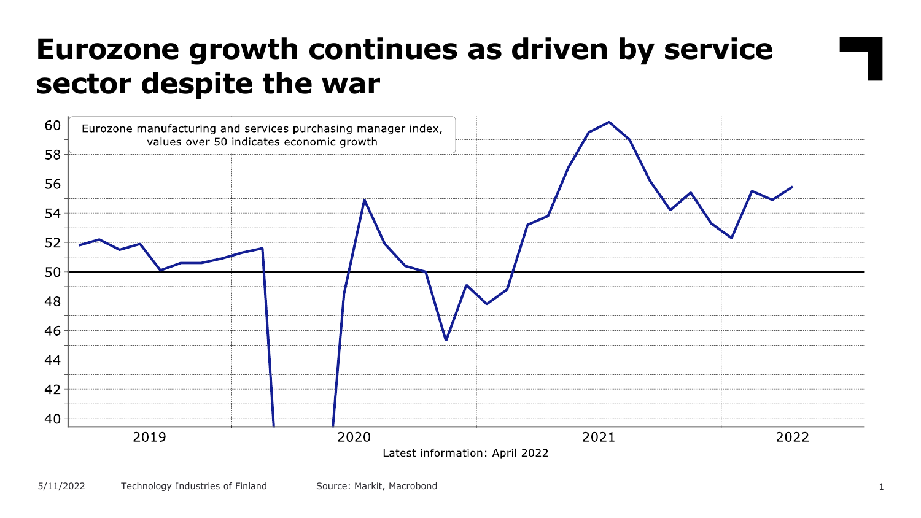### **Eurozone growth continues as driven by service sector despite the war**

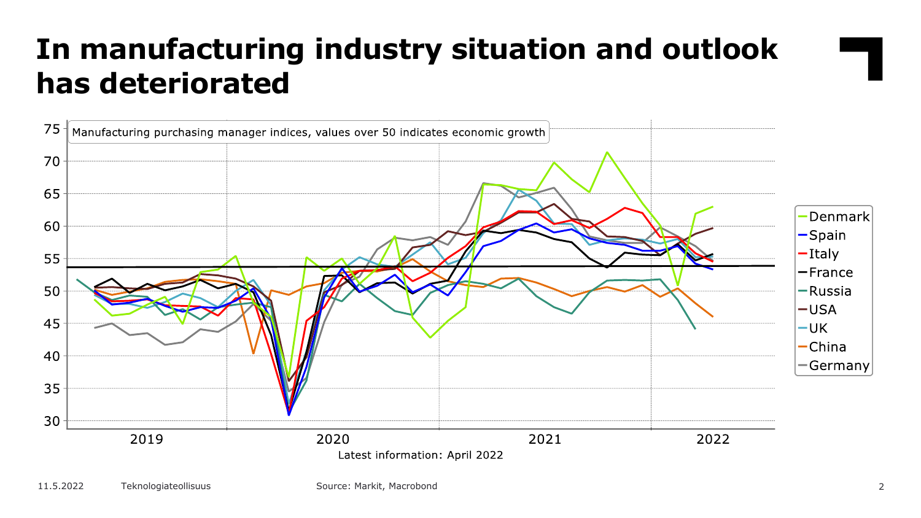# **In manufacturing industry situation and outlook has deteriorated**

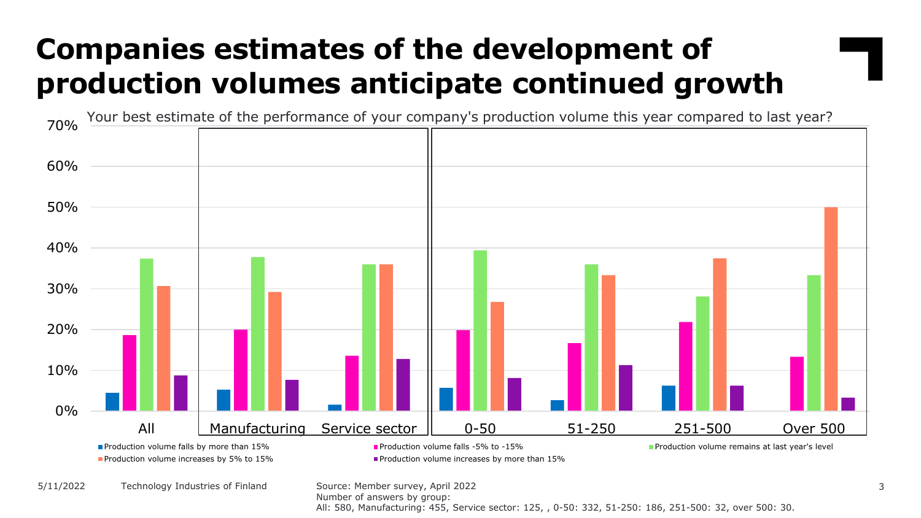# **Companies estimates of the development of production volumes anticipate continued growth**



Number of answers by group:

All: 580, Manufacturing: 455, Service sector: 125, , 0-50: 332, 51-250: 186, 251-500: 32, over 500: 30.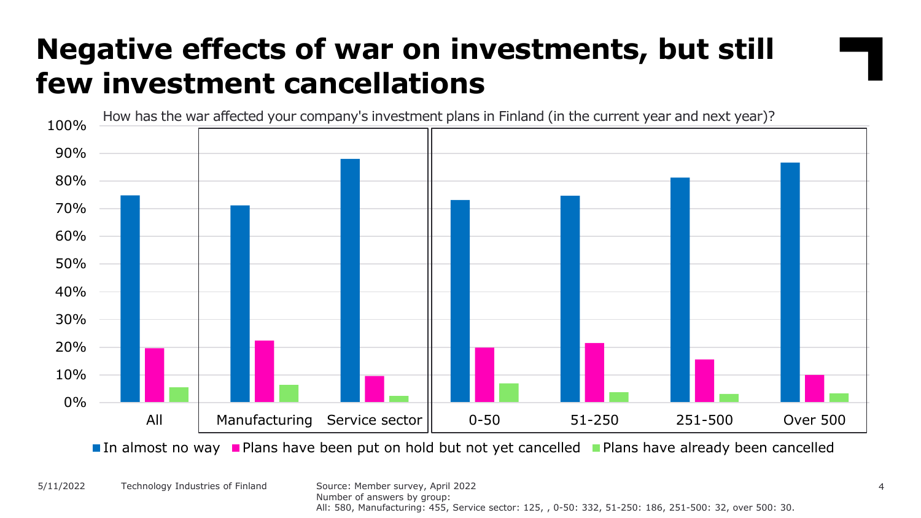#### **Negative effects of war on investments, but still few investment cancellations**



In almost no way Plans have been put on hold but not yet cancelled Plans have already been cancelled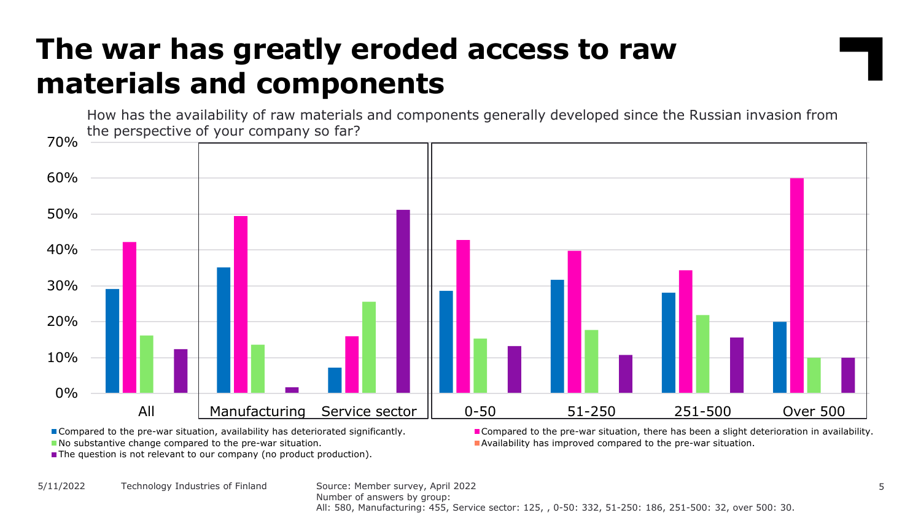# **The war has greatly eroded access to raw materials and components**

How has the availability of raw materials and components generally developed since the Russian invasion from the perspective of your company so far?



The question is not relevant to our company (no product production).

Compared to the pre-war situation, availability has deteriorated significantly. **Compared to the pre-war situation, there has been a slight deterioration in availability.** No substantive change compared to the pre-war situation. And in the state of the pre-war situation.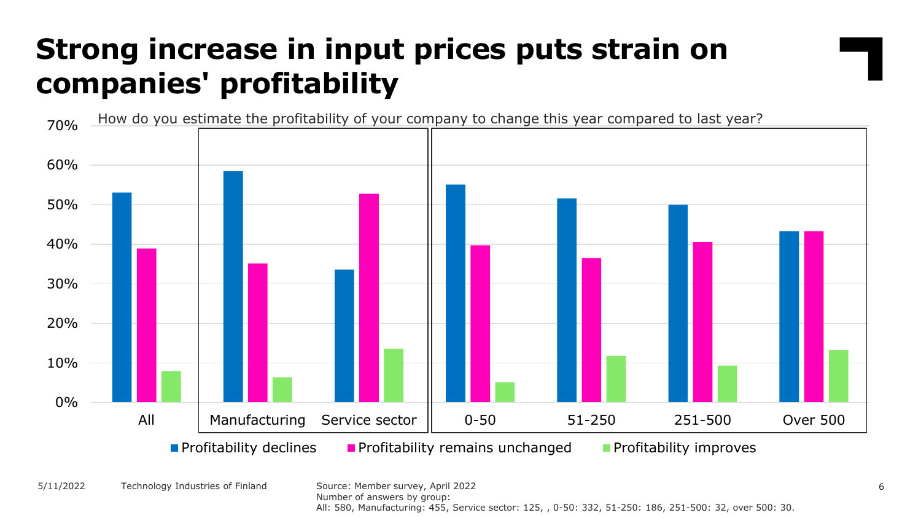# **Strong increase in input prices puts strain on companies' profitability**



All: 580, Manufacturing: 455, Service sector: 125, , 0-50: 332, 51-250: 186, 251-500: 32, over 500: 30.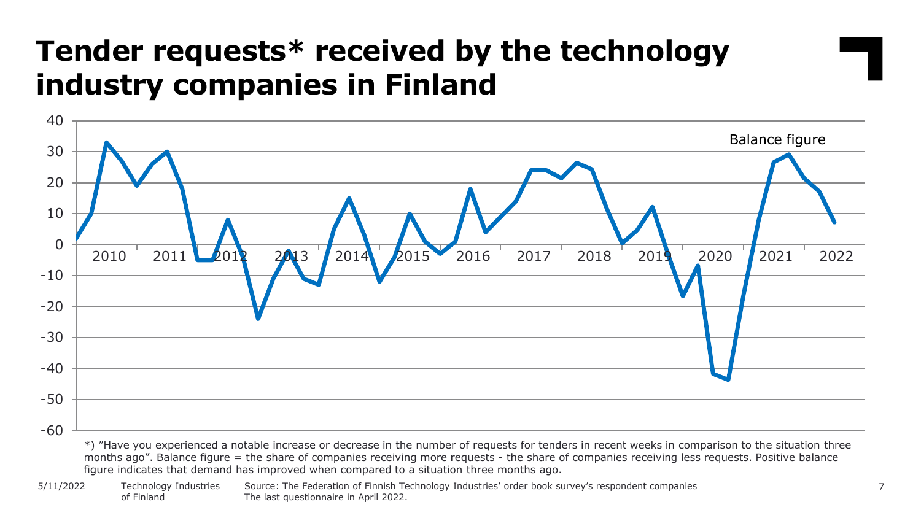#### **Tender requests\* received by the technology industry companies in Finland**



months ago". Balance figure = the share of companies receiving more requests - the share of companies receiving less requests. Positive balance figure indicates that demand has improved when compared to a situation three months ago.

Source: The Federation of Finnish Technology Industries' order book survey's respondent companies 7 The last questionnaire in April 2022. Technology Industries of Finland 5/11/2022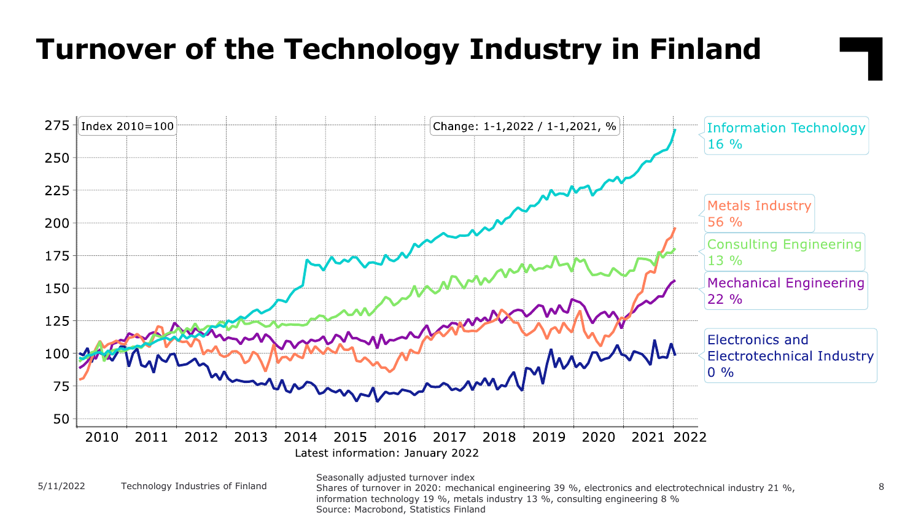# **Turnover of the Technology Industry in Finland**



information technology 19 %, metals industry 13 %, consulting engineering 8 %

Source: Macrobond, Statistics Finland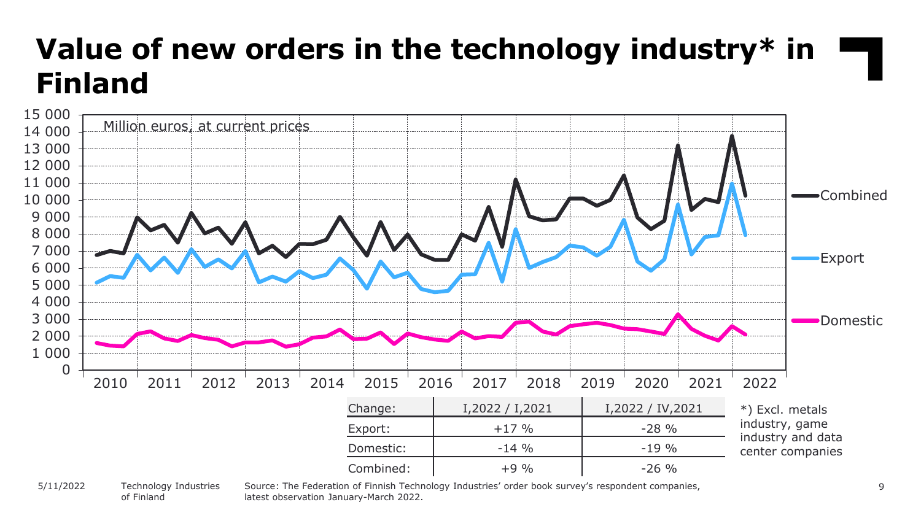#### **Value of new orders in the technology industry\* in Finland** 0 1 000 2 000 3 000 4 000 5 000 6 000 7 000 8 000 9 000 10 000 11 000 12 000 13 000 14 000 15 000 Combined Export Domestic Million euros, at current prices Change: I,2022 / I,2021 I,2022 / IV,2021 Export:  $+17 \%$   $-28 \%$ Domestic:  $-14\%$   $-19\%$  $Combined:$   $+9\%$   $+9\%$   $-26\%$ \*) Excl. metals industry, game industry and data center companies 2010 2011 2012 2013 2014 2015 2016 2017 2018 2019 2020 2021 2022

#### Technology Industries of Finland 5/11/2022

Source: The Federation of Finnish Technology Industries' order book survey's respondent companies, 9 latest observation January-March 2022.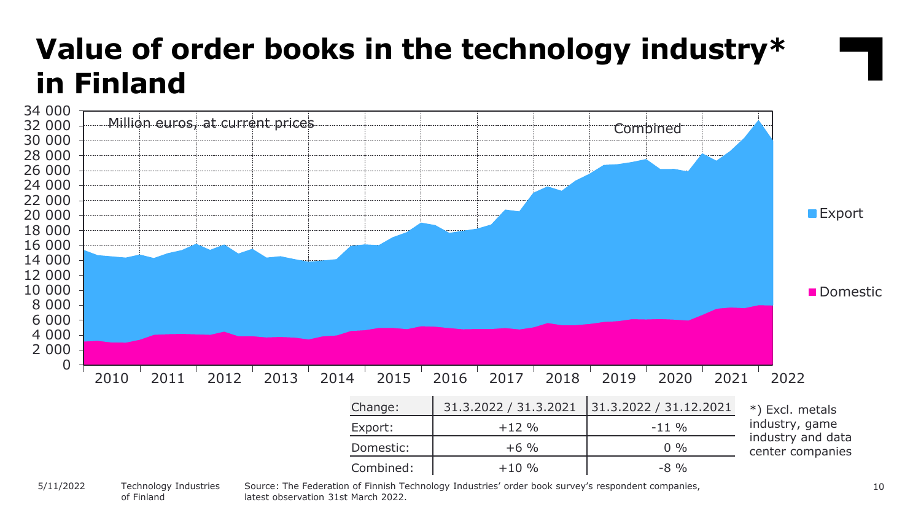

of Finland

latest observation 31st March 2022.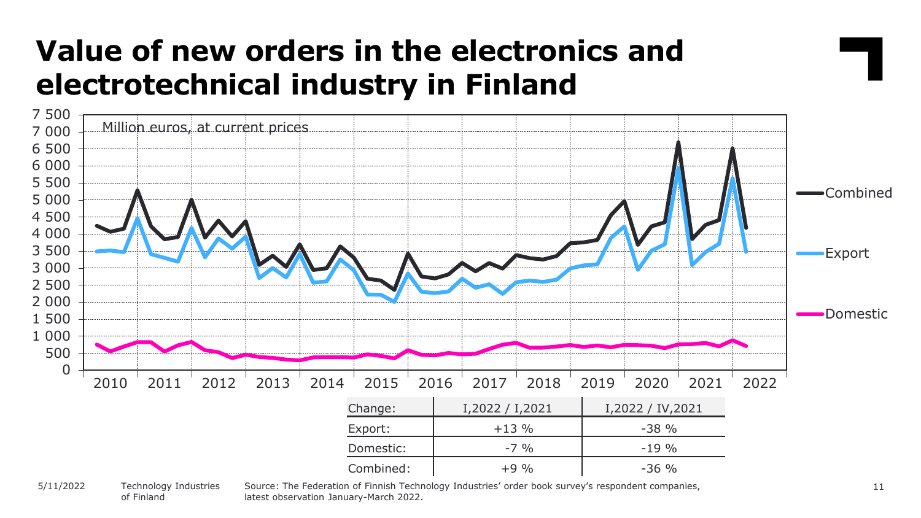#### **Value of new orders in the electronics and electrotechnical industry in Finland**



Technology Industries of Finland 5/11/2022

Source: The Federation of Finnish Technology Industries' order book survey's respondent companies, latest observation January-March 2022.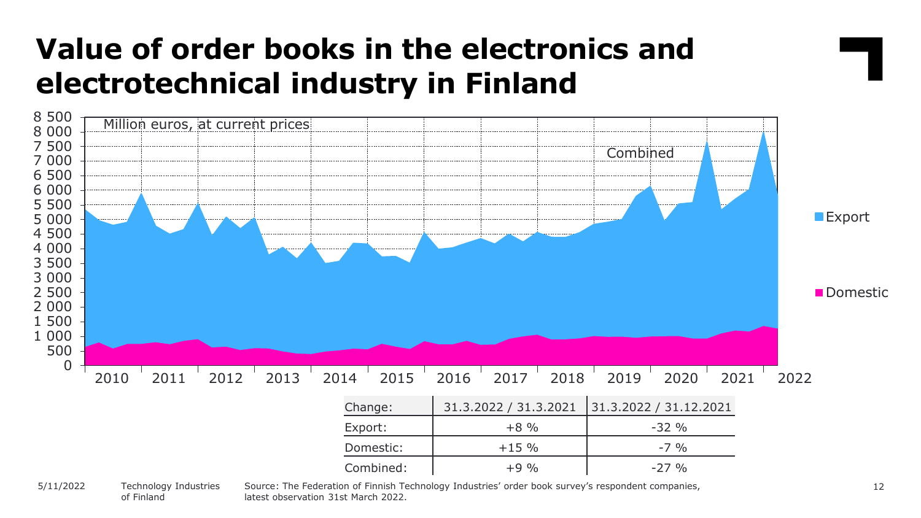### **Value of order books in the electronics and electrotechnical industry in Finland**



of Finland

Source: The Federation of Finnish Technology Industries' order book survey's respondent companies, latest observation 31st March 2022.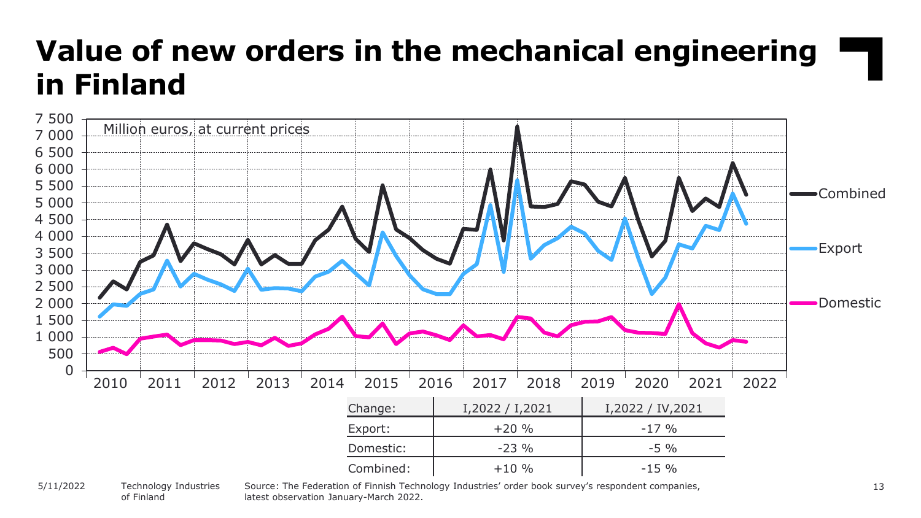# **Value of new orders in the mechanical engineering in Finland**



#### Technology Industries of Finland 5/11/2022

Source: The Federation of Finnish Technology Industries' order book survey's respondent companies, latest observation January-March 2022.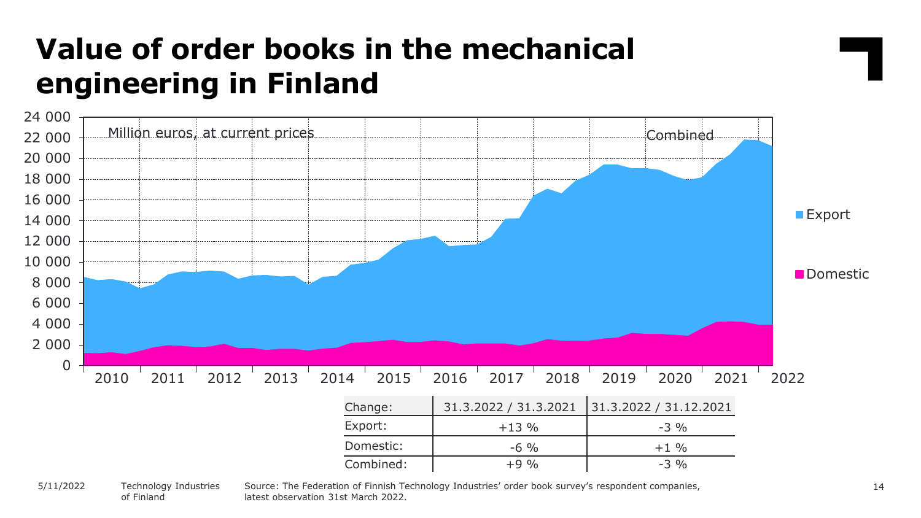# **Value of order books in the mechanical engineering in Finland**



#### Technology Industries of Finland 5/11/2022

latest observation 31st March 2022.

Source: The Federation of Finnish Technology Industries' order book survey's respondent companies,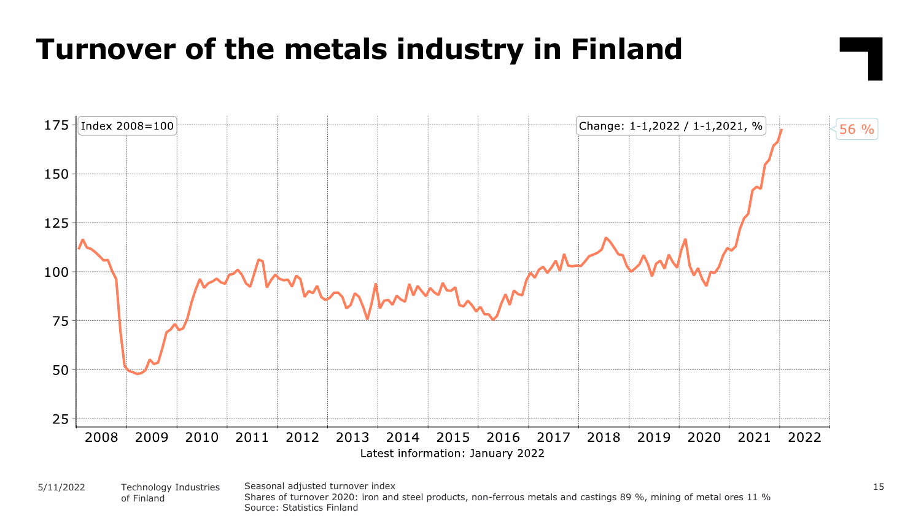#### **Turnover of the metals industry in Finland**

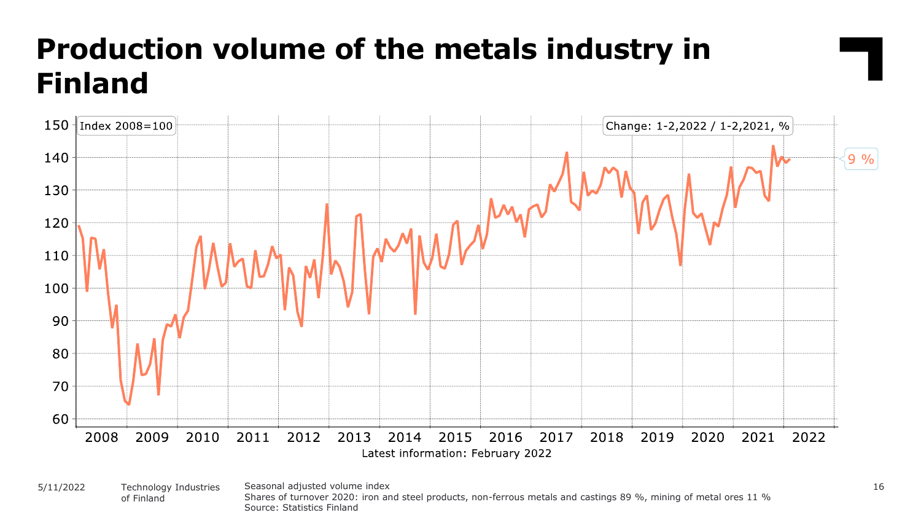# **Production volume of the metals industry in Finland**



Seasonal adjusted volume index 16 Shares of turnover 2020: iron and steel products, non-ferrous metals and castings 89 %, mining of metal ores 11 % Source: Statistics Finland 5/11/2022 Technology Industries of Finland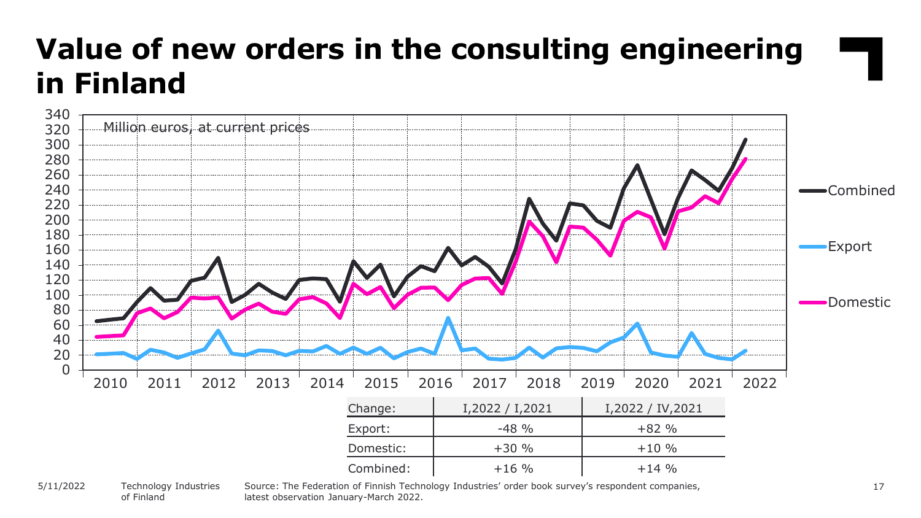# **Value of new orders in the consulting engineering in Finland**



#### Technology Industries of Finland 5/11/2022

Source: The Federation of Finnish Technology Industries' order book survey's respondent companies, latest observation January-March 2022.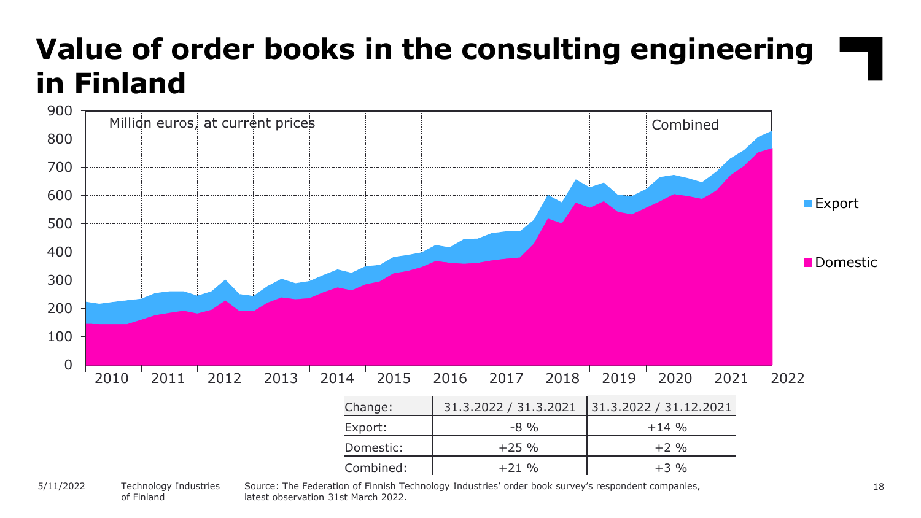# **Value of order books in the consulting engineering in Finland**



of Finland

Source: The Federation of Finnish Technology Industries' order book survey's respondent companies, latest observation 31st March 2022.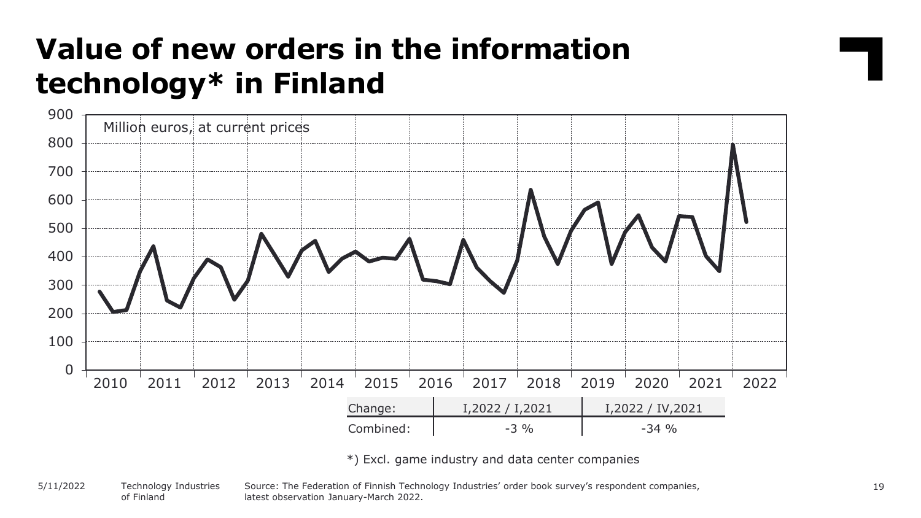# **Value of new orders in the information technology\* in Finland**



\*) Excl. game industry and data center companies

Source: The Federation of Finnish Technology Industries' order book survey's respondent companies, latest observation January-March 2022. Technology Industries of Finland 5/11/2022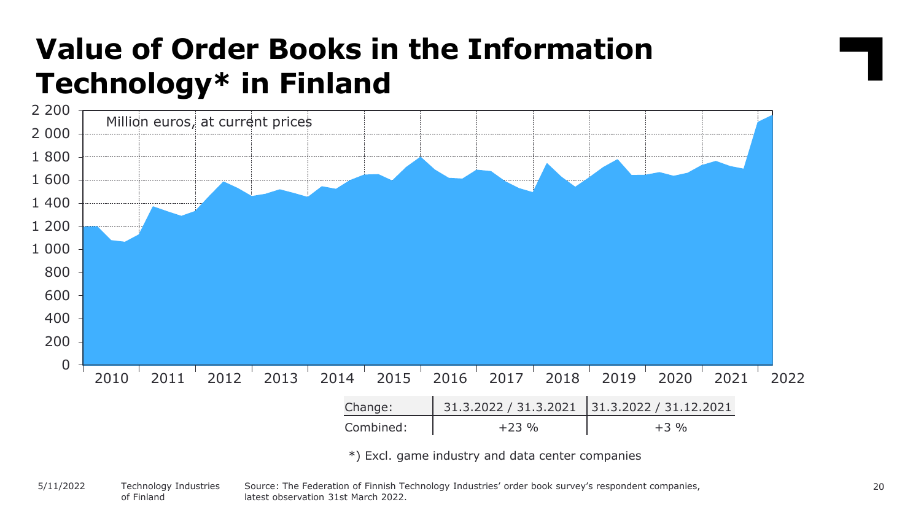### **Value of Order Books in the Information Technology\* in Finland**



Source: The Federation of Finnish Technology Industries' order book survey's respondent companies, latest observation 31st March 2022. Technology Industries of Finland 5/11/2022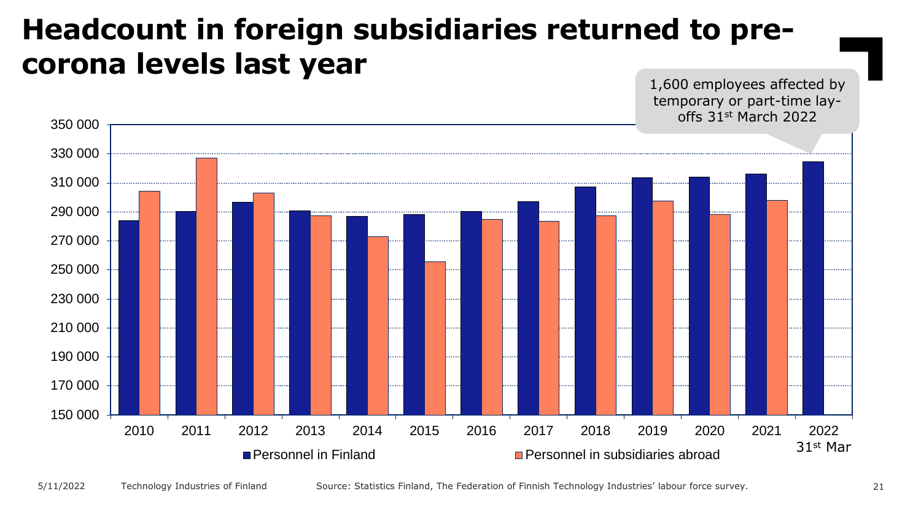#### **Headcount in foreign subsidiaries returned to precorona levels last year**

1,600 employees affected by temporary or part-time layoffs 31st March 2022

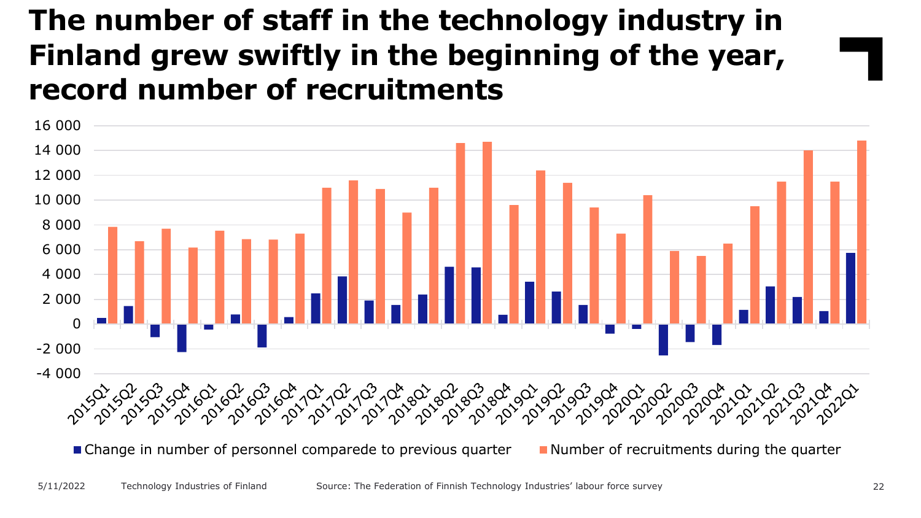#### **The number of staff in the technology industry in Finland grew swiftly in the beginning of the year, record number of recruitments**

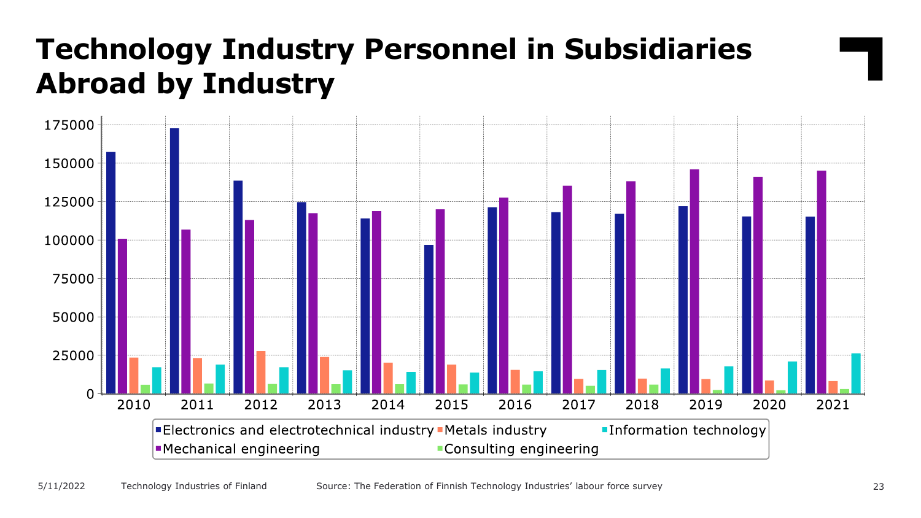#### **Technology Industry Personnel in Subsidiaries Abroad by Industry**